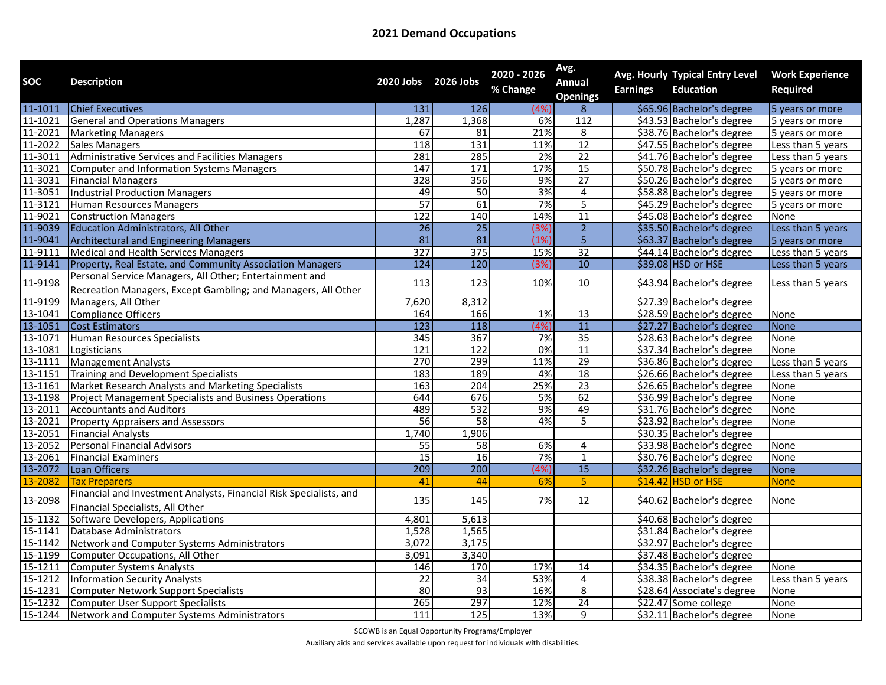| <b>SOC</b>         | <b>Description</b>                                                 | 2020 Jobs 2026 Jobs |                 | 2020 - 2026 | Avg.<br>Annual  |                 | Avg. Hourly Typical Entry Level | <b>Work Experience</b> |
|--------------------|--------------------------------------------------------------------|---------------------|-----------------|-------------|-----------------|-----------------|---------------------------------|------------------------|
|                    |                                                                    |                     |                 | % Change    | <b>Openings</b> | <b>Earnings</b> | <b>Education</b>                | <b>Required</b>        |
| 11-1011            | <b>Chief Executives</b>                                            | 131                 | <b>126</b>      | (4%         | 8               |                 | \$65.96 Bachelor's degree       | 5 years or more        |
| 11-1021            | <b>General and Operations Managers</b>                             | 1,287               | 1,368           | 6%          | 112             |                 | \$43.53 Bachelor's degree       | 5 years or more        |
| 11-2021            | <b>Marketing Managers</b>                                          | 67                  | 81              | 21%         | $\overline{8}$  |                 | \$38.76 Bachelor's degree       | 5 years or more        |
| 11-2022            | <b>Sales Managers</b>                                              | 118                 | 131             | 11%         | 12              |                 | \$47.55 Bachelor's degree       | Less than 5 years      |
| 11-3011            | Administrative Services and Facilities Managers                    | 281                 | 285             | 2%          | $\overline{22}$ |                 | \$41.76 Bachelor's degree       | Less than 5 years      |
| 11-3021            | Computer and Information Systems Managers                          | 147                 | 171             | 17%         | 15              |                 | \$50.78 Bachelor's degree       | 5 years or more        |
| 11-3031            | <b>Financial Managers</b>                                          | 328                 | 356             | 9%          | 27              |                 | \$50.26 Bachelor's degree       | 5 years or more        |
| 11-3051            | <b>Industrial Production Managers</b>                              | 49                  | 50              | 3%          | $\overline{4}$  |                 | \$58.88 Bachelor's degree       | 5 years or more        |
| 11-3121            | Human Resources Managers                                           | 57                  | 61              | 7%          | $\overline{5}$  |                 | \$45.29 Bachelor's degree       | 5 years or more        |
| 11-9021            | <b>Construction Managers</b>                                       | 122                 | 140             | 14%         | 11              |                 | \$45.08 Bachelor's degree       | None                   |
| 11-9039            | <b>Education Administrators, All Other</b>                         | 26                  | $\overline{25}$ | (3%)        | $\overline{2}$  |                 | \$35.50 Bachelor's degree       | Less than 5 years      |
| 11-9041            | <b>Architectural and Engineering Managers</b>                      | 81                  | 81              | (1%         | $\overline{5}$  |                 | \$63.37 Bachelor's degree       | 5 years or more        |
| 11-9111            | Medical and Health Services Managers                               | 327                 | 375             | 15%         | $\overline{32}$ |                 | \$44.14 Bachelor's degree       | Less than 5 years      |
| 11-9141            | Property, Real Estate, and Community Association Managers          | 124                 | 120             | (3%         | 10              |                 | \$39.08 HSD or HSE              | Less than 5 years      |
|                    | Personal Service Managers, All Other; Entertainment and            |                     |                 | 10%         |                 |                 |                                 |                        |
| 11-9198            | Recreation Managers, Except Gambling; and Managers, All Other      | 113                 | 123             |             | $10\,$          |                 | \$43.94 Bachelor's degree       | Less than 5 years      |
| 11-9199            | Managers, All Other                                                | 7,620               | 8,312           |             |                 |                 | \$27.39 Bachelor's degree       |                        |
| $13 - 1041$        | Compliance Officers                                                | 164                 | 166             | 1%          | 13              |                 | \$28.59 Bachelor's degree       | None                   |
| 13-1051            | <b>Cost Estimators</b>                                             | $\overline{123}$    | 118             | (4%         | 11              |                 | \$27.27 Bachelor's degree       | <b>None</b>            |
| 13-1071            | Human Resources Specialists                                        | 345                 | 367             | 7%          | $\overline{35}$ |                 | \$28.63 Bachelor's degree       | None                   |
| 13-1081            | Logisticians                                                       | 121                 | 122             | $0\%$       | $\overline{11}$ |                 | \$37.34 Bachelor's degree       | None                   |
| 13-1111            | <b>Management Analysts</b>                                         | 270                 | 299             | 11%         | 29              |                 | \$36.86 Bachelor's degree       | Less than 5 years      |
| 13-1151            | <b>Training and Development Specialists</b>                        | 183                 | 189             | 4%          | 18              |                 | \$26.66 Bachelor's degree       | Less than 5 years      |
|                    | Market Research Analysts and Marketing Specialists                 | 163                 | 204             | 25%         | $\overline{23}$ |                 | \$26.65 Bachelor's degree       | None                   |
| 13-1161<br>13-1198 | <b>Project Management Specialists and Business Operations</b>      | 644                 | 676             | 5%          | 62              |                 | \$36.99 Bachelor's degree       | None                   |
| 13-2011            | <b>Accountants and Auditors</b>                                    | 489                 | 532             | 9%          | 49              |                 | \$31.76 Bachelor's degree       | None                   |
| 13-2021            | <b>Property Appraisers and Assessors</b>                           | $\overline{56}$     | 58              | 4%          | $\overline{5}$  |                 | \$23.92 Bachelor's degree       | None                   |
| $13 - 2051$        | <b>Financial Analysts</b>                                          | 1,740               | 1,906           |             |                 |                 | \$30.35 Bachelor's degree       |                        |
| 13-2052            | Personal Financial Advisors                                        | $\overline{55}$     | $\overline{58}$ | 6%          | 4               |                 | \$33.98 Bachelor's degree       | None                   |
| 13-2061            | <b>Financial Examiners</b>                                         | 15                  | 16              | 7%          | $\overline{1}$  |                 | \$30.76 Bachelor's degree       | None                   |
| 13-2072            | Loan Officers                                                      | 209                 | 200             | (4%         | 15              |                 | \$32.26 Bachelor's degree       | <b>None</b>            |
| 13-2082            | <b>Tax Preparers</b>                                               | 41                  | 44              | 6%          | 5               |                 | \$14.42 HSD or HSE              | <b>None</b>            |
| 13-2098            | Financial and Investment Analysts, Financial Risk Specialists, and |                     | 145             | 7%          |                 |                 |                                 |                        |
|                    | Financial Specialists, All Other                                   | 135                 |                 |             | 12              |                 | \$40.62 Bachelor's degree       | None                   |
| 15-1132            | Software Developers, Applications                                  | 4,801               | 5,613           |             |                 |                 | \$40.68 Bachelor's degree       |                        |
| 15-1141            | Database Administrators                                            | 1,528               | 1,565           |             |                 |                 | \$31.84 Bachelor's degree       |                        |
| 15-1142            | Network and Computer Systems Administrators                        | 3,072               | 3,175           |             |                 |                 | \$32.97 Bachelor's degree       |                        |
| 15-1199            | Computer Occupations, All Other                                    | 3,091               | 3,340           |             |                 |                 | \$37.48 Bachelor's degree       |                        |
| 15-1211            | Computer Systems Analysts                                          | 146                 | 170             | 17%         | 14              |                 | \$34.35 Bachelor's degree       | None                   |
| 15-1212            | <b>Information Security Analysts</b>                               | $\overline{22}$     | 34              | 53%         | 4               |                 | \$38.38 Bachelor's degree       | Less than 5 years      |
| 15-1231            | Computer Network Support Specialists                               | 80                  | 93              | 16%         | 8               |                 | \$28.64 Associate's degree      | None                   |
| 15-1232            | <b>Computer User Support Specialists</b>                           | 265                 | 297             | 12%         | 24              |                 | \$22.47 Some college            | None                   |
|                    | 15-1244 Network and Computer Systems Administrators                | 111                 | 125             | 13%         | $\overline{9}$  |                 | \$32.11 Bachelor's degree       | None                   |

SCOWB is an Equal Opportunity Programs/Employer

Auxiliary aids and services available upon request for individuals with disabilities.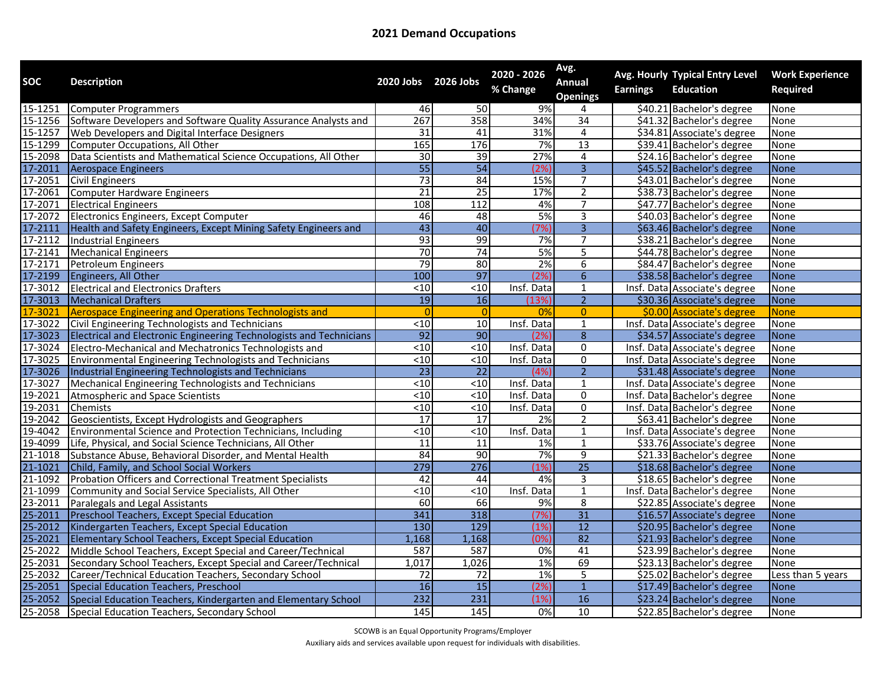| SOC     | <b>Description</b>                                                  | 2020 Jobs 2026 Jobs |                  | 2020 - 2026<br>% Change | Avg.<br><b>Annual</b><br><b>Openings</b> | <b>Earnings</b> | Avg. Hourly Typical Entry Level<br><b>Education</b> | <b>Work Experience</b><br><b>Required</b> |
|---------|---------------------------------------------------------------------|---------------------|------------------|-------------------------|------------------------------------------|-----------------|-----------------------------------------------------|-------------------------------------------|
| 15-1251 | Computer Programmers                                                | 46                  | 50               | 9%                      |                                          |                 | \$40.21 Bachelor's degree                           | None                                      |
| 15-1256 | Software Developers and Software Quality Assurance Analysts and     | 267                 | 358              | 34%                     | 34                                       |                 | \$41.32 Bachelor's degree                           | None                                      |
| 15-1257 | <b>Web Developers and Digital Interface Designers</b>               | 31                  | 41               | 31%                     | 4                                        |                 | \$34.81 Associate's degree                          | None                                      |
| 15-1299 | Computer Occupations, All Other                                     | 165                 | 176              | 7%                      | 13                                       |                 | \$39.41 Bachelor's degree                           | None                                      |
| 15-2098 | Data Scientists and Mathematical Science Occupations, All Other     | $\overline{30}$     | 39               | 27%                     | 4                                        |                 | \$24.16 Bachelor's degree                           | None                                      |
| 17-2011 | <b>Aerospace Engineers</b>                                          | 55                  | 54               | (2%                     | $\overline{3}$                           |                 | \$45.52 Bachelor's degree                           | <b>None</b>                               |
| 17-2051 | <b>Civil Engineers</b>                                              | $\overline{73}$     | 84               | 15%                     | $\overline{7}$                           |                 | \$43.01 Bachelor's degree                           | None                                      |
| 17-2061 | Computer Hardware Engineers                                         | 21                  | $\overline{25}$  | 17%                     | $\overline{2}$                           |                 | \$38.73 Bachelor's degree                           | None                                      |
| 17-2071 | <b>Electrical Engineers</b>                                         | 108                 | 112              | 4%                      | $\overline{7}$                           |                 | \$47.77 Bachelor's degree                           | None                                      |
| 17-2072 | Electronics Engineers, Except Computer                              | 46                  | 48               | 5%                      | $\overline{3}$                           |                 | \$40.03 Bachelor's degree                           | None                                      |
| 17-2111 | Health and Safety Engineers, Except Mining Safety Engineers and     | $\overline{43}$     | 40               | (7%                     | $\overline{3}$                           |                 | \$63.46 Bachelor's degree                           | <b>None</b>                               |
| 17-2112 | <b>Industrial Engineers</b>                                         | 93                  | 99               | 7%                      | $\overline{7}$                           |                 | \$38.21 Bachelor's degree                           | None                                      |
| 17-2141 | <b>Mechanical Engineers</b>                                         | 70                  | 74               | 5%                      | 5                                        |                 | \$44.78 Bachelor's degree                           | None                                      |
| 17-2171 | Petroleum Engineers                                                 | 79                  | 80               | 2%                      | $\overline{6}$                           |                 | \$84.47 Bachelor's degree                           | <b>None</b>                               |
| 17-2199 | Engineers, All Other                                                | 100                 | $\overline{97}$  | (2%                     | $\overline{6}$                           |                 | \$38.58 Bachelor's degree                           | <b>None</b>                               |
| 17-3012 | <b>Electrical and Electronics Drafters</b>                          | $10$                | $\overline{510}$ | Insf. Data              | $\mathbf{1}$                             |                 | Insf. Data Associate's degree                       | None                                      |
| 17-3013 | <b>Mechanical Drafters</b>                                          | $\overline{19}$     | 16               | (13%                    | $\overline{2}$                           |                 | \$30.36 Associate's degree                          | <b>None</b>                               |
| 17-3021 | <b>Aerospace Engineering and Operations Technologists and</b>       |                     | $\Omega$         | 0%                      | $\overline{0}$                           |                 | \$0.00 Associate's degree                           | <b>None</b>                               |
| 17-3022 | Civil Engineering Technologists and Technicians                     | $<10$               | $\overline{10}$  | Insf. Data              | $\mathbf 1$                              |                 | Insf. Data Associate's degree                       | None                                      |
| 17-3023 | Electrical and Electronic Engineering Technologists and Technicians | $\overline{92}$     | 90               | 12%                     | $\overline{8}$                           |                 | \$34.57 Associate's degree                          | None                                      |
| 17-3024 | Electro-Mechanical and Mechatronics Technologists and               | $\overline{<}10$    | $\overline{<}10$ | Insf. Data              | $\pmb{0}$                                |                 | Insf. Data Associate's degree                       | None                                      |
| 17-3025 | <b>Environmental Engineering Technologists and Technicians</b>      | $\overline{<}10$    | $\overline{<}10$ | Insf. Data              | 0                                        |                 | Insf. Data Associate's degree                       | None                                      |
| 17-3026 | Industrial Engineering Technologists and Technicians                | $\overline{23}$     | $\overline{22}$  | (4%                     | $\overline{2}$                           |                 | \$31.48 Associate's degree                          | <b>None</b>                               |
| 17-3027 | Mechanical Engineering Technologists and Technicians                | $<$ 10              | $\overline{510}$ | Insf. Data              | 1                                        |                 | Insf. Data Associate's degree                       | None                                      |
| 19-2021 | Atmospheric and Space Scientists                                    | < 10                | $\overline{<}10$ | Insf. Data              | $\pmb{0}$                                |                 | Insf. Data Bachelor's degree                        | None                                      |
| 19-2031 | <b>Chemists</b>                                                     | $10$                | $\overline{510}$ | Insf. Data              | $\overline{0}$                           |                 | Insf. Data Bachelor's degree                        | None                                      |
| 19-2042 | Geoscientists, Except Hydrologists and Geographers                  | $\overline{17}$     | 17               | 2%                      | $\overline{2}$                           |                 | \$63.41 Bachelor's degree                           | None                                      |
| 19-4042 | Environmental Science and Protection Technicians, Including         | $\overline{<}10$    | < 10             | Insf. Data              | $\mathbf{1}$                             |                 | Insf. Data Associate's degree                       | None                                      |
| 19-4099 | Life, Physical, and Social Science Technicians, All Other           | 11                  | 11               | 1%                      | $\mathbf 1$                              |                 | \$33.76 Associate's degree                          | None                                      |
| 21-1018 | Substance Abuse, Behavioral Disorder, and Mental Health             | 84                  | 90               | 7%                      | $\overline{9}$                           |                 | \$21.33 Bachelor's degree                           | None                                      |
| 21-1021 | Child, Family, and School Social Workers                            | 279                 | 276              | (1%                     | $\overline{25}$                          |                 | \$18.68 Bachelor's degree                           | None                                      |
| 21-1092 | Probation Officers and Correctional Treatment Specialists           | 42                  | 44               | 4%                      | $\overline{3}$                           |                 | \$18.65 Bachelor's degree                           | None                                      |
| 21-1099 | Community and Social Service Specialists, All Other                 | $\overline{<}10$    | $\overline{510}$ | Insf. Data              | $\mathbf{1}$                             |                 | Insf. Data Bachelor's degree                        | None                                      |
| 23-2011 | Paralegals and Legal Assistants                                     | 60                  | 66               | 9%                      | $\overline{8}$                           |                 | \$22.85 Associate's degree                          | None                                      |
| 25-2011 | Preschool Teachers, Except Special Education                        | 341                 | 318              | (7%                     | 31                                       |                 | \$16.57 Associate's degree                          | <b>None</b>                               |
| 25-2012 | Kindergarten Teachers, Except Special Education                     | 130                 | 129              | (1%)                    | $\overline{12}$                          |                 | \$20.95 Bachelor's degree                           | <b>None</b>                               |
| 25-2021 | Elementary School Teachers, Except Special Education                | 1,168               | 1,168            | (0%                     | 82                                       |                 | \$21.93 Bachelor's degree                           | None                                      |
| 25-2022 | Middle School Teachers, Except Special and Career/Technical         | 587                 | 587              | 0%                      | 41                                       |                 | \$23.99 Bachelor's degree                           | None                                      |
| 25-2031 | Secondary School Teachers, Except Special and Career/Technical      | 1,017               | 1,026            | 1%                      | 69                                       |                 | \$23.13 Bachelor's degree                           | None                                      |
| 25-2032 | Career/Technical Education Teachers, Secondary School               | 72                  | 72               | 1%                      | 5                                        |                 | \$25.02 Bachelor's degree                           | Less than 5 years                         |
| 25-2051 | <b>Special Education Teachers, Preschool</b>                        | $\overline{16}$     | 15               | (2%                     | $\mathbf{1}$                             |                 | \$17.49 Bachelor's degree                           | <b>None</b>                               |
| 25-2052 | Special Education Teachers, Kindergarten and Elementary School      | 232                 | 231              | (1%                     | 16                                       |                 | \$23.24 Bachelor's degree                           | <b>None</b>                               |
| 25-2058 | Special Education Teachers, Secondary School                        | 145                 | 145              | 0%                      | 10                                       |                 | \$22.85 Bachelor's degree                           | None                                      |

SCOWB is an Equal Opportunity Programs/Employer

Auxiliary aids and services available upon request for individuals with disabilities.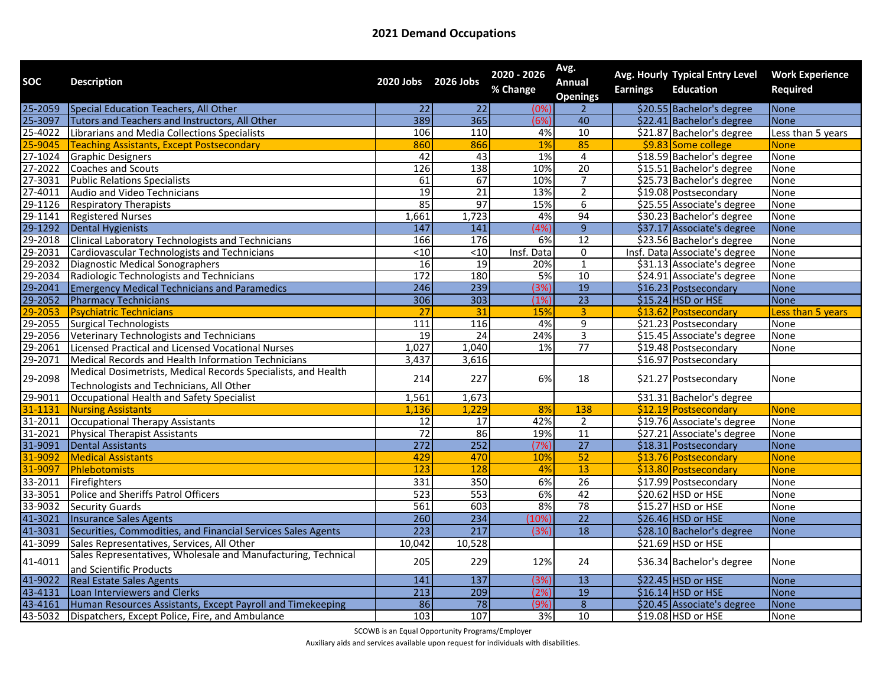| <b>SOC</b>         | <b>Description</b>                                                                                        | 2020 Jobs 2026 Jobs |                  | 2020 - 2026<br>% Change | Avg.<br><b>Annual</b><br><b>Openings</b> | <b>Earnings</b> | Avg. Hourly Typical Entry Level<br><b>Education</b> | <b>Work Experience</b><br><b>Required</b> |
|--------------------|-----------------------------------------------------------------------------------------------------------|---------------------|------------------|-------------------------|------------------------------------------|-----------------|-----------------------------------------------------|-------------------------------------------|
| 25-2059            | Special Education Teachers, All Other                                                                     | $\overline{22}$     | $\overline{22}$  | (0%                     | $\mathcal{P}$                            |                 | \$20.55 Bachelor's degree                           | <b>None</b>                               |
| 25-3097            | Tutors and Teachers and Instructors, All Other                                                            | 389                 | 365              | (6%                     | 40                                       |                 | \$22.41 Bachelor's degree                           | <b>None</b>                               |
| 25-4022            | Librarians and Media Collections Specialists                                                              | 106                 | 110              | 4%                      | 10                                       |                 | \$21.87 Bachelor's degree                           | Less than 5 years                         |
| 25-9045            | <b>Teaching Assistants, Except Postsecondary</b>                                                          | 860                 | 866              | 1%                      | 85                                       |                 | \$9.83 Some college                                 | <b>None</b>                               |
| 27-1024            | <b>Graphic Designers</b>                                                                                  | 42                  | 43               | 1%                      | 4                                        |                 | \$18.59 Bachelor's degree                           | None                                      |
| 27-2022            | Coaches and Scouts                                                                                        | 126                 | 138              | 10%                     | 20                                       |                 | \$15.51 Bachelor's degree                           | None                                      |
| 27-3031            | <b>Public Relations Specialists</b>                                                                       | 61                  | 67               | 10%                     | $\overline{7}$                           |                 | \$25.73 Bachelor's degree                           | None                                      |
| 27-4011            | Audio and Video Technicians                                                                               | 19                  | $\overline{21}$  | 13%                     | $\overline{2}$                           |                 | \$19.08 Postsecondary                               | None                                      |
| 29-1126            | <b>Respiratory Therapists</b>                                                                             | 85                  | 97               | 15%                     | 6                                        |                 | \$25.55 Associate's degree                          | None                                      |
| 29-1141            | <b>Registered Nurses</b>                                                                                  | 1,661               | 1,723            | 4%                      | 94                                       |                 | \$30.23 Bachelor's degree                           | None                                      |
| 29-1292            | <b>Dental Hygienists</b>                                                                                  | 147                 | 141              | $\sqrt{4\%}$            | $\overline{9}$                           |                 | \$37.17 Associate's degree                          | <b>None</b>                               |
| 29-2018            | <b>Clinical Laboratory Technologists and Technicians</b>                                                  | 166                 | 176              | 6%                      | 12                                       |                 | \$23.56 Bachelor's degree                           | None                                      |
| 29-2031            | Cardiovascular Technologists and Technicians                                                              | $<$ 10              | $\overline{<}10$ | Insf. Data              | 0                                        |                 | Insf. Data Associate's degree                       | None                                      |
| 29-2032            | <b>Diagnostic Medical Sonographers</b>                                                                    | 16                  | 19               | 20%                     | $\overline{1}$                           |                 | \$31.13 Associate's degree                          | None                                      |
| 29-2034            | Radiologic Technologists and Technicians                                                                  | $\overline{172}$    | 180              | 5%                      | $\overline{10}$                          |                 | \$24.91 Associate's degree                          | None                                      |
| 29-2041            | <b>Emergency Medical Technicians and Paramedics</b>                                                       | 246                 | 239              | (3%                     | 19                                       |                 | \$16.23 Postsecondary                               | <b>None</b>                               |
| 29-2052            | <b>Pharmacy Technicians</b>                                                                               | 306                 | 303              | (1%                     | $\overline{23}$                          |                 | \$15.24 HSD or HSE                                  | None                                      |
| 29-2053            | <b>Psychiatric Technicians</b>                                                                            | 27                  | 31               | 15%                     | 3                                        |                 | \$13.62 Postsecondary                               | Less than 5 years                         |
| 29-2055            | <b>Surgical Technologists</b>                                                                             | $\frac{111}{11}$    | 116              | 4%                      | $\overline{9}$                           |                 | \$21.23 Postsecondary                               | <b>None</b>                               |
| 29-2056            | <b>Veterinary Technologists and Technicians</b>                                                           | 19                  | 24               | 24%                     | $\overline{3}$                           |                 | \$15.45 Associate's degree                          | None                                      |
| $29 - 2061$        | Licensed Practical and Licensed Vocational Nurses                                                         | 1,027               | 1,040            | 1%                      | 77                                       |                 | \$19.48 Postsecondary                               | None                                      |
| 29-2071            | Medical Records and Health Information Technicians                                                        | 3,437               | 3,616            |                         |                                          |                 | \$16.97 Postsecondary                               |                                           |
| 29-2098            | Medical Dosimetrists, Medical Records Specialists, and Health<br>Technologists and Technicians, All Other | 214                 | 227              | 6%                      | 18                                       |                 | \$21.27 Postsecondary                               | None                                      |
|                    | Occupational Health and Safety Specialist                                                                 | 1,561               | 1,673            |                         |                                          |                 | \$31.31 Bachelor's degree                           |                                           |
| 29-9011<br>31-1131 | <b>Nursing Assistants</b>                                                                                 | 1.136               | 1.229            | 8%                      | 138                                      |                 | \$12.19 Postsecondary                               | <b>None</b>                               |
| 31-2011            | <b>Occupational Therapy Assistants</b>                                                                    | $\overline{12}$     | $\overline{17}$  | 42%                     | $\overline{2}$                           |                 | \$19.76 Associate's degree                          | None                                      |
| 31-2021            | <b>Physical Therapist Assistants</b>                                                                      | 72                  | 86               | 19%                     | 11                                       |                 | \$27.21 Associate's degree                          | None                                      |
| 31-9091            | <b>Dental Assistants</b>                                                                                  | 272                 | 252              | (7%                     | $\overline{27}$                          |                 | \$18.31 Postsecondary                               | None                                      |
| 31-9092            | <b>Medical Assistants</b>                                                                                 | 429                 | 470              | 10%                     | 52                                       |                 | \$13.76 Postsecondary                               | <b>None</b>                               |
| 31-9097            | Phlebotomists                                                                                             | 123                 | 128              | 4%                      | 13                                       |                 | \$13.80 Postsecondary                               | <b>None</b>                               |
| 33-2011            | Firefighters                                                                                              | 331                 | 350              | 6%                      | $\overline{26}$                          |                 | \$17.99 Postsecondary                               | None                                      |
| 33-3051            | Police and Sheriffs Patrol Officers                                                                       | 523                 | 553              | 6%                      | 42                                       |                 | \$20.62 HSD or HSE                                  | None                                      |
| 33-9032            | <b>Security Guards</b>                                                                                    | 561                 | 603              | 8%                      | 78                                       |                 | \$15.27 HSD or HSE                                  | None                                      |
| 41-3021            | <b>Insurance Sales Agents</b>                                                                             | 260                 | 234              | (10%                    | $\overline{22}$                          |                 | \$26.46 HSD or HSE                                  | None                                      |
| 41-3031            | Securities, Commodities, and Financial Services Sales Agents                                              | 223                 | 217              | (3%                     | 18                                       |                 | \$28.10 Bachelor's degree                           | <b>None</b>                               |
| 41-3099            | Sales Representatives, Services, All Other                                                                | 10,042              | 10,528           |                         |                                          |                 | \$21.69 HSD or HSE                                  |                                           |
| 41-4011            | Sales Representatives, Wholesale and Manufacturing, Technical<br>and Scientific Products                  | 205                 | 229              | 12%                     | 24                                       |                 | \$36.34 Bachelor's degree                           | None                                      |
|                    | <b>Real Estate Sales Agents</b>                                                                           | 141                 | 137              | (3%                     | $\overline{13}$                          |                 | \$22.45 HSD or HSE                                  | <b>None</b>                               |
| 41-9022<br>43-4131 | Loan Interviewers and Clerks                                                                              | 213                 | 209              | (2%                     | 19                                       |                 | \$16.14 HSD or HSE                                  | <b>None</b>                               |
| 43-4161            | Human Resources Assistants, Except Payroll and Timekeeping                                                | 86                  | 78               | (9%                     | $\overline{8}$                           |                 | \$20.45 Associate's degree                          | None                                      |
| 43-5032            | Dispatchers, Except Police, Fire, and Ambulance                                                           | 103                 | 107              | 3%                      | 10                                       |                 | \$19.08 HSD or HSE                                  | None                                      |
|                    |                                                                                                           |                     |                  |                         |                                          |                 |                                                     |                                           |

SCOWB is an Equal Opportunity Programs/Employer

Auxiliary aids and services available upon request for individuals with disabilities.